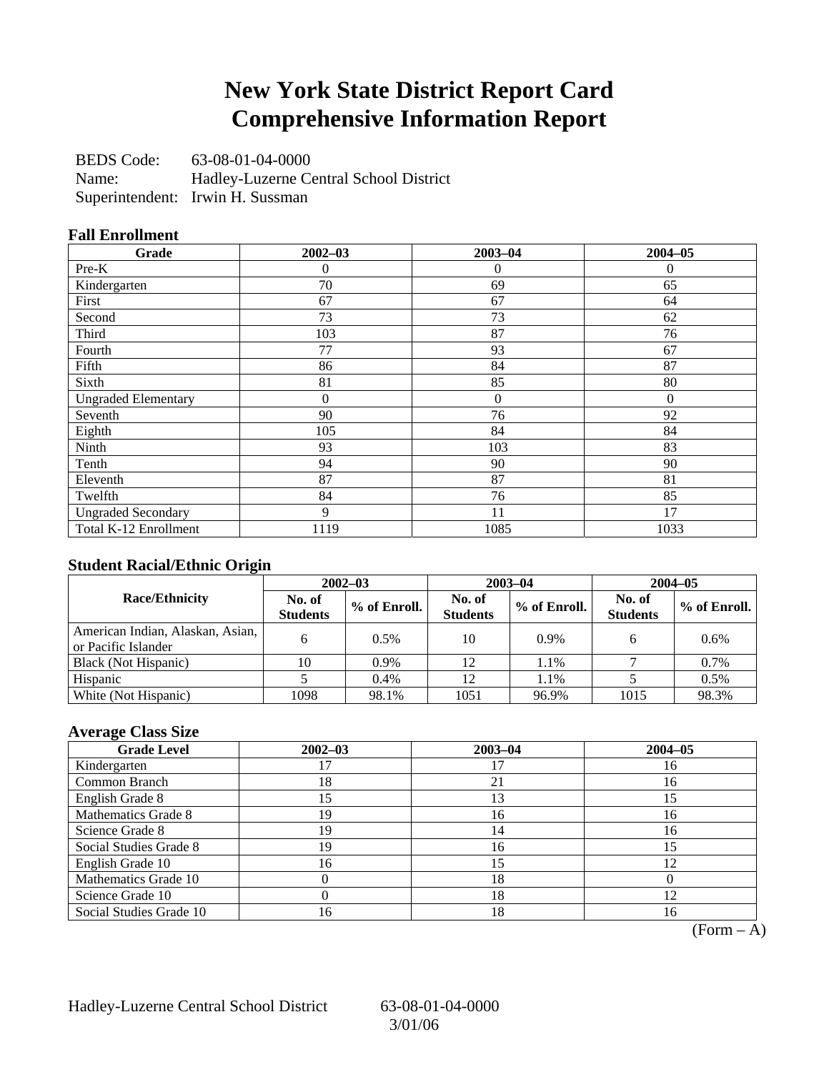## **New York State District Report Card Comprehensive Information Report**

BEDS Code: 63-08-01-04-0000 Name: Hadley-Luzerne Central School District Superintendent: Irwin H. Sussman

### **Fall Enrollment**

| Grade                      | $2002 - 03$ | $2003 - 04$    | $2004 - 05$  |
|----------------------------|-------------|----------------|--------------|
| $Pre-K$                    | 0           | $\theta$       | $\mathbf{0}$ |
| Kindergarten               | 70          | 69             | 65           |
| First                      | 67          | 67             | 64           |
| Second                     | 73          | 73             | 62           |
| Third                      | 103         | 87             | 76           |
| Fourth                     | 77          | 93             | 67           |
| Fifth                      | 86          | 84             | 87           |
| Sixth                      | 81          | 85             | 80           |
| <b>Ungraded Elementary</b> | $\theta$    | $\overline{0}$ | $\mathbf{0}$ |
| Seventh                    | 90          | 76             | 92           |
| Eighth                     | 105         | 84             | 84           |
| Ninth                      | 93          | 103            | 83           |
| Tenth                      | 94          | 90             | 90           |
| Eleventh                   | 87          | 87             | 81           |
| Twelfth                    | 84          | 76             | 85           |
| <b>Ungraded Secondary</b>  | 9           | 11             | 17           |
| Total K-12 Enrollment      | 1119        | 1085           | 1033         |

### **Student Racial/Ethnic Origin**

|                                                         | $2002 - 03$               |              |                           | $2003 - 04$  | $2004 - 05$               |              |  |
|---------------------------------------------------------|---------------------------|--------------|---------------------------|--------------|---------------------------|--------------|--|
| <b>Race/Ethnicity</b>                                   | No. of<br><b>Students</b> | % of Enroll. | No. of<br><b>Students</b> | % of Enroll. | No. of<br><b>Students</b> | % of Enroll. |  |
| American Indian, Alaskan, Asian,<br>or Pacific Islander | 6                         | 0.5%         | 10                        | $0.9\%$      |                           | 0.6%         |  |
| Black (Not Hispanic)                                    | 10                        | 0.9%         | 12                        | 1.1%         |                           | 0.7%         |  |
| Hispanic                                                |                           | 0.4%         | 12                        | 1.1%         |                           | 0.5%         |  |
| White (Not Hispanic)                                    | 1098                      | 98.1%        | 1051                      | 96.9%        | 1015                      | 98.3%        |  |

### **Average Class Size**

| <b>Grade Level</b>      | $2002 - 03$ | $2003 - 04$ | $2004 - 05$ |
|-------------------------|-------------|-------------|-------------|
| Kindergarten            |             |             | 16          |
| Common Branch           | 18          | 21          | 16          |
| English Grade 8         | .5          | 13          |             |
| Mathematics Grade 8     | 19          | 16          | 16          |
| Science Grade 8         | 19          | 14          | 16          |
| Social Studies Grade 8  | 19          | 16          |             |
| English Grade 10        | 16          | 15          | 12          |
| Mathematics Grade 10    |             | 18          |             |
| Science Grade 10        |             | 18          |             |
| Social Studies Grade 10 | 16          | 18          | 16          |

 $(Form - A)$ 

Hadley-Luzerne Central School District 63-08-01-04-0000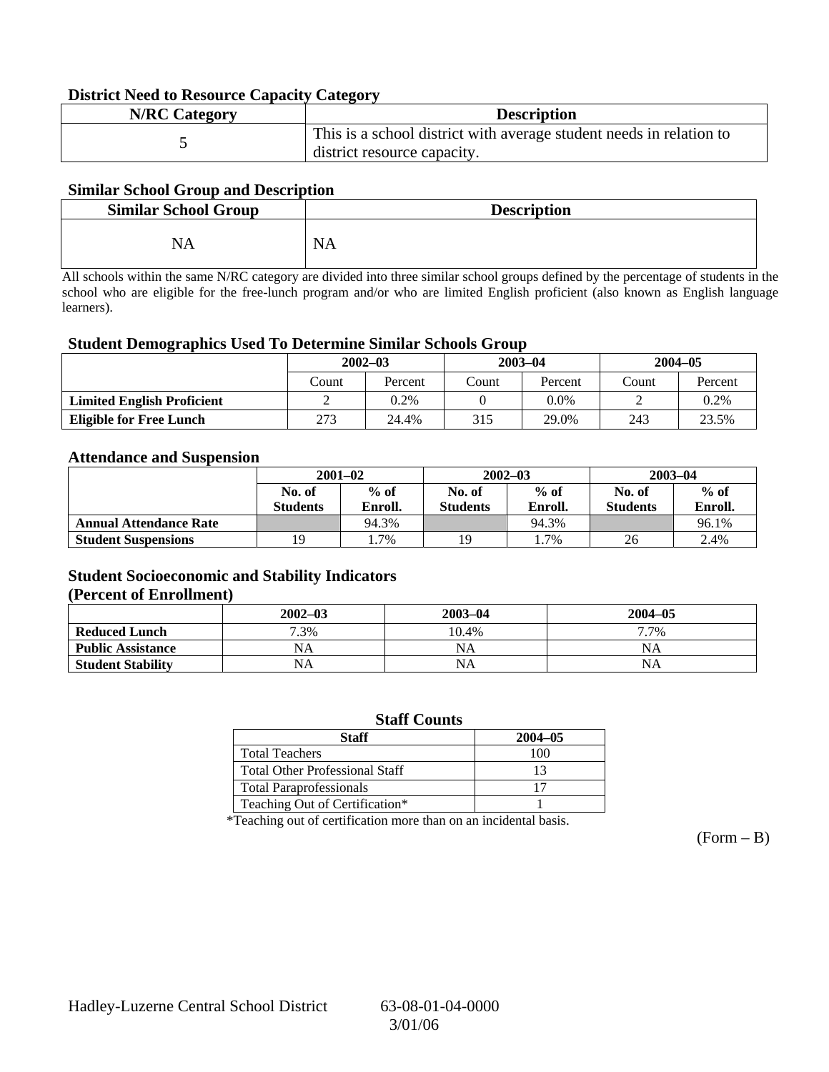### **District Need to Resource Capacity Category**

| <b>N/RC Category</b> | <b>Description</b>                                                                                 |
|----------------------|----------------------------------------------------------------------------------------------------|
|                      | This is a school district with average student needs in relation to<br>district resource capacity. |

### **Similar School Group and Description**

| <b>Similar School Group</b> | <b>Description</b> |
|-----------------------------|--------------------|
| NA                          | <b>NA</b>          |

All schools within the same N/RC category are divided into three similar school groups defined by the percentage of students in the school who are eligible for the free-lunch program and/or who are limited English proficient (also known as English language learners).

#### **Student Demographics Used To Determine Similar Schools Group**

|                                   | $2002 - 03$ |         | $2003 - 04$ |         | $2004 - 05$ |         |
|-----------------------------------|-------------|---------|-------------|---------|-------------|---------|
|                                   | Count       | Percent | Count       | Percent | Count       | Percent |
| <b>Limited English Proficient</b> | ↩           | 0.2%    |             | 0.0%    |             | 0.2%    |
| <b>Eligible for Free Lunch</b>    | 273         | 24.4%   | 315         | 29.0%   | 243         | 23.5%   |

#### **Attendance and Suspension**

|                               | $2001 - 02$      |         |                  | $2002 - 03$ | $2003 - 04$     |         |
|-------------------------------|------------------|---------|------------------|-------------|-----------------|---------|
|                               | $%$ of<br>No. of |         | $%$ of<br>No. of |             | No. of          | $%$ of  |
|                               | <b>Students</b>  | Enroll. | <b>Students</b>  | Enroll.     | <b>Students</b> | Enroll. |
| <b>Annual Attendance Rate</b> |                  | 94.3%   |                  | 94.3%       |                 | 96.1%   |
| <b>Student Suspensions</b>    |                  | 1.7%    | 19               | 1.7%        | 26              | 2.4%    |

### **Student Socioeconomic and Stability Indicators (Percent of Enrollment)**

|                          | $2002 - 03$ | $2003 - 04$ | $2004 - 05$ |
|--------------------------|-------------|-------------|-------------|
| <b>Reduced Lunch</b>     | 7.3%        | 10.4%       | 7.7%        |
| <b>Public Assistance</b> | NA          | NA          | NA          |
| <b>Student Stability</b> | NA          | <b>NA</b>   | NA          |

#### **Staff Counts**

| Staff                                 | $2004 - 05$ |
|---------------------------------------|-------------|
| <b>Total Teachers</b>                 | 100         |
| <b>Total Other Professional Staff</b> |             |
| <b>Total Paraprofessionals</b>        |             |
| Teaching Out of Certification*        |             |

\*Teaching out of certification more than on an incidental basis.

 $(Form - B)$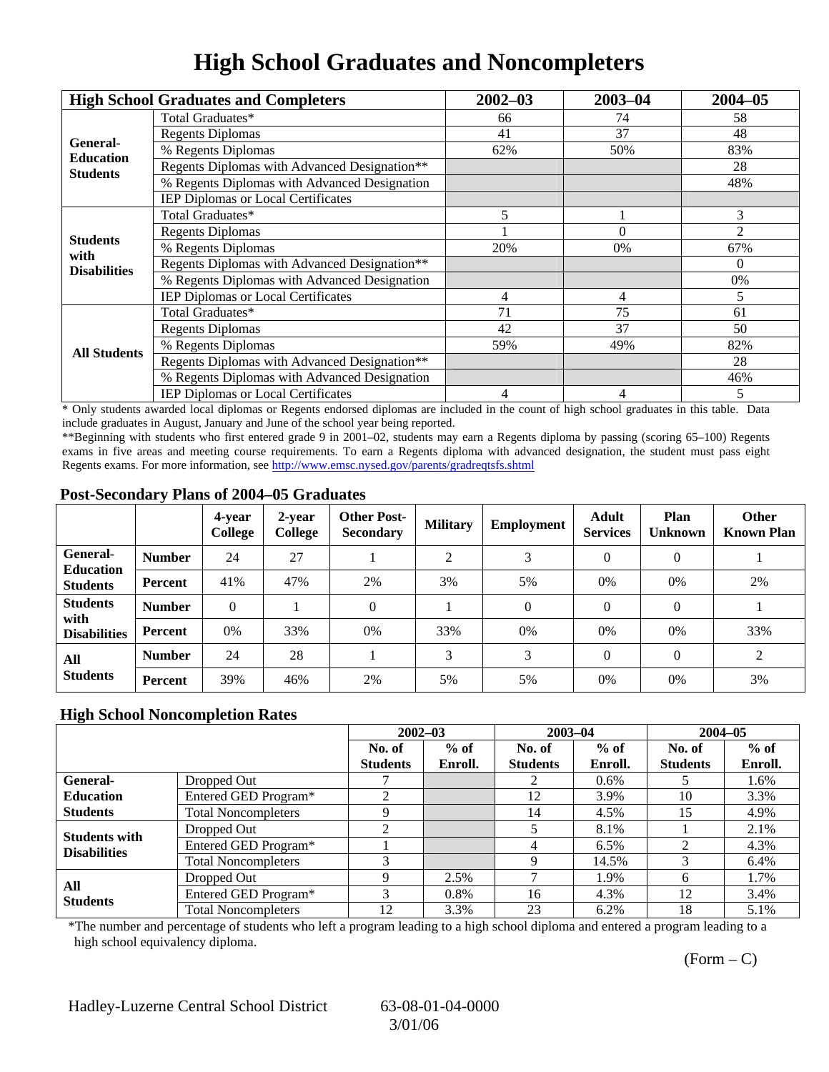# **High School Graduates and Noncompleters**

|                         | <b>High School Graduates and Completers</b>  | $2002 - 03$                                            | $2003 - 04$ | $2004 - 05$ |
|-------------------------|----------------------------------------------|--------------------------------------------------------|-------------|-------------|
|                         | Total Graduates*                             | 66                                                     | 74          | 58          |
| General-                | <b>Regents Diplomas</b>                      | 41                                                     | 37          | 48          |
| <b>Education</b>        | % Regents Diplomas                           | 62%                                                    | 50%         | 83%         |
| <b>Students</b>         | Regents Diplomas with Advanced Designation** |                                                        |             | 28          |
|                         | % Regents Diplomas with Advanced Designation |                                                        |             | 48%         |
|                         | IEP Diplomas or Local Certificates           |                                                        |             |             |
|                         | Total Graduates*                             | 5                                                      |             | 3           |
|                         | <b>Regents Diplomas</b>                      |                                                        | $\Omega$    | 2           |
| <b>Students</b><br>with | % Regents Diplomas                           | 20%                                                    | 0%          | 67%         |
| <b>Disabilities</b>     | Regents Diplomas with Advanced Designation** |                                                        |             | $\theta$    |
|                         | % Regents Diplomas with Advanced Designation | 4<br>4<br>71<br>75<br>37<br>42<br>59%<br>49%<br>4<br>4 | 0%          |             |
|                         | IEP Diplomas or Local Certificates           |                                                        |             | 5           |
|                         | Total Graduates*                             |                                                        |             | 61          |
|                         | <b>Regents Diplomas</b>                      |                                                        |             | 50          |
| <b>All Students</b>     | % Regents Diplomas                           |                                                        | 82%         |             |
|                         | Regents Diplomas with Advanced Designation** |                                                        |             | 28          |
|                         | % Regents Diplomas with Advanced Designation |                                                        |             | 46%         |
|                         | <b>IEP Diplomas or Local Certificates</b>    |                                                        |             | 5           |

\* Only students awarded local diplomas or Regents endorsed diplomas are included in the count of high school graduates in this table. Data include graduates in August, January and June of the school year being reported.

\*\*Beginning with students who first entered grade 9 in 2001–02, students may earn a Regents diploma by passing (scoring 65–100) Regents exams in five areas and meeting course requirements. To earn a Regents diploma with advanced designation, the student must pass eight Regents exams. For more information, see http://www.emsc.nysed.gov/parents/gradreqtsfs.shtml

### **Post-Secondary Plans of 2004–05 Graduates**

|                                                |                | 4-year<br>College | 2-year<br>College | <b>Other Post-</b><br><b>Secondary</b> | <b>Military</b> | <b>Employment</b> | <b>Adult</b><br><b>Services</b> | Plan<br><b>Unknown</b> | <b>Other</b><br><b>Known Plan</b> |
|------------------------------------------------|----------------|-------------------|-------------------|----------------------------------------|-----------------|-------------------|---------------------------------|------------------------|-----------------------------------|
| <b>General-</b><br><b>Education</b>            | <b>Number</b>  | 24                | 27                |                                        | ↑               | 3                 | $\Omega$                        | $\theta$               |                                   |
| <b>Students</b>                                | <b>Percent</b> | 41%               | 47%               | 2%                                     | 3%              | 5%                | $0\%$                           | 0%                     | 2%                                |
| <b>Students</b><br>with<br><b>Disabilities</b> | <b>Number</b>  | $\Omega$          |                   | $\Omega$                               |                 | $\theta$          | $\Omega$                        | $\Omega$               |                                   |
|                                                | <b>Percent</b> | 0%                | 33%               | 0%                                     | 33%             | 0%                | 0%                              | 0%                     | 33%                               |
| All<br><b>Students</b>                         | <b>Number</b>  | 24                | 28                |                                        | 3               | 3                 | $\Omega$                        | $\Omega$               | 2                                 |
|                                                | Percent        | 39%               | 46%               | 2%                                     | 5%              | 5%                | 0%                              | 0%                     | 3%                                |

### **High School Noncompletion Rates**

|                                             |                            | $2002 - 03$     |         | $2003 - 04$     |         | $2004 - 05$     |         |
|---------------------------------------------|----------------------------|-----------------|---------|-----------------|---------|-----------------|---------|
|                                             |                            | No. of          | $%$ of  | No. of          | $%$ of  | No. of          | $%$ of  |
|                                             |                            | <b>Students</b> | Enroll. | <b>Students</b> | Enroll. | <b>Students</b> | Enroll. |
| General-                                    | Dropped Out                |                 |         |                 | $0.6\%$ |                 | 1.6%    |
| <b>Education</b>                            | Entered GED Program*       |                 |         | 12              | 3.9%    | 10              | 3.3%    |
| <b>Students</b>                             | <b>Total Noncompleters</b> |                 |         | 14              | 4.5%    | 15              | 4.9%    |
|                                             | Dropped Out                | ◠               |         |                 | 8.1%    |                 | 2.1%    |
| <b>Students with</b><br><b>Disabilities</b> | Entered GED Program*       |                 |         |                 | 6.5%    |                 | 4.3%    |
|                                             | <b>Total Noncompleters</b> |                 |         |                 | 14.5%   |                 | 6.4%    |
| All<br><b>Students</b>                      | Dropped Out                |                 | 2.5%    |                 | 1.9%    | <sub>6</sub>    | 1.7%    |
|                                             | Entered GED Program*       | 3               | $0.8\%$ | 16              | 4.3%    | 12              | 3.4%    |
|                                             | <b>Total Noncompleters</b> | 12              | 3.3%    | 23              | 6.2%    | 18              | 5.1%    |

\*The number and percentage of students who left a program leading to a high school diploma and entered a program leading to a high school equivalency diploma.

 $(Form - C)$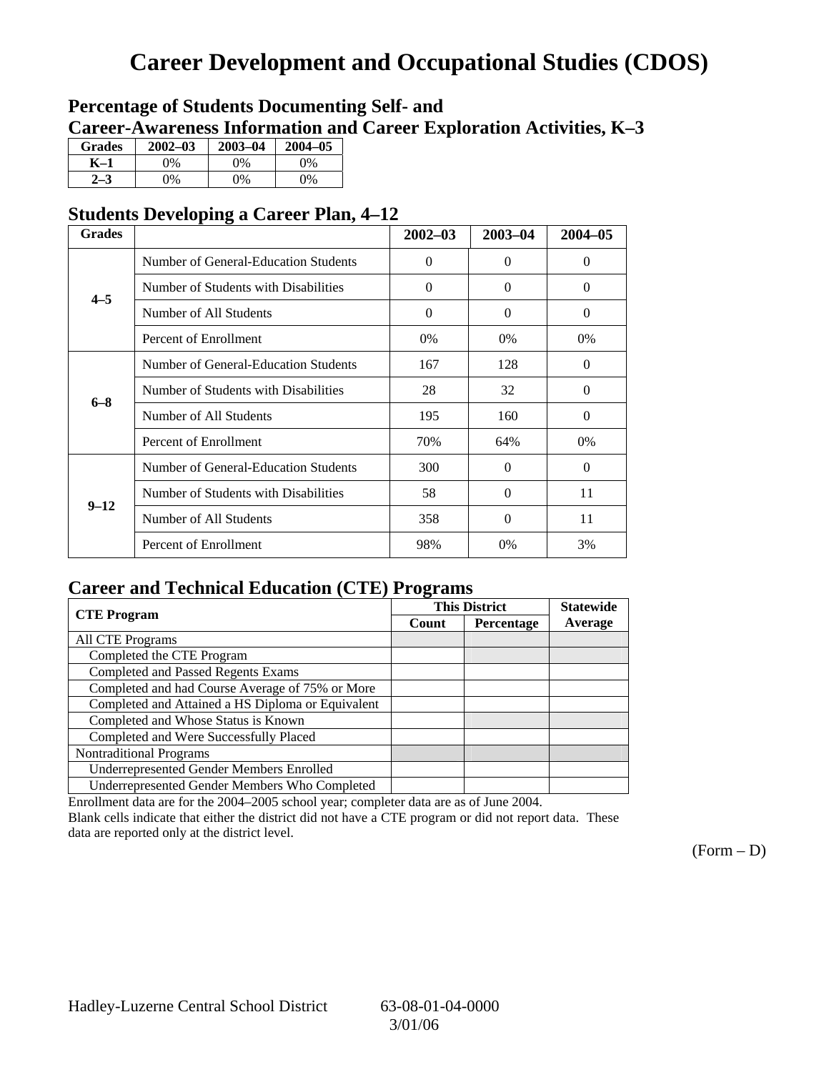## **Career Development and Occupational Studies (CDOS)**

### **Percentage of Students Documenting Self- and Career-Awareness Information and Career Exploration Activities, K–3**

| <b>Grades</b> | $2002 - 03$ | $2003 - 04$ | $2004 - 05$ |
|---------------|-------------|-------------|-------------|
| K–1           | 0%          | 0%          | $0\%$       |
| $2 - 3$       | 9%          | 0%          | 0%          |

### **Students Developing a Career Plan, 4–12**

| <b>Grades</b> |                                      | $2002 - 03$ | $2003 - 04$ | $2004 - 05$ |
|---------------|--------------------------------------|-------------|-------------|-------------|
|               | Number of General-Education Students | $\theta$    | $\theta$    | $\Omega$    |
| $4 - 5$       | Number of Students with Disabilities | $\Omega$    | $\Omega$    | $\Omega$    |
|               | Number of All Students               | $\Omega$    | 0           | $\Omega$    |
|               | Percent of Enrollment                | 0%          | $0\%$       | $0\%$       |
|               | Number of General-Education Students | 167         | 128         | $\Omega$    |
| $6 - 8$       | Number of Students with Disabilities | 28          | 32          | 0           |
|               | Number of All Students               | 195         | 160         | $\Omega$    |
|               | Percent of Enrollment                | 70%         | 64%         | $0\%$       |
|               | Number of General-Education Students | 300         | 0           | $\Omega$    |
| $9 - 12$      | Number of Students with Disabilities | 58          | $\Omega$    | 11          |
|               | Number of All Students               | 358         | $\Omega$    | 11          |
|               | Percent of Enrollment                | 98%         | $0\%$       | 3%          |

### **Career and Technical Education (CTE) Programs**

|                                                   |       | <b>This District</b> | <b>Statewide</b> |
|---------------------------------------------------|-------|----------------------|------------------|
| <b>CTE</b> Program                                | Count | Percentage           | Average          |
| <b>All CTE Programs</b>                           |       |                      |                  |
| Completed the CTE Program                         |       |                      |                  |
| <b>Completed and Passed Regents Exams</b>         |       |                      |                  |
| Completed and had Course Average of 75% or More   |       |                      |                  |
| Completed and Attained a HS Diploma or Equivalent |       |                      |                  |
| Completed and Whose Status is Known               |       |                      |                  |
| Completed and Were Successfully Placed            |       |                      |                  |
| <b>Nontraditional Programs</b>                    |       |                      |                  |
| <b>Underrepresented Gender Members Enrolled</b>   |       |                      |                  |
| Underrepresented Gender Members Who Completed     |       |                      |                  |

Enrollment data are for the 2004–2005 school year; completer data are as of June 2004.

Blank cells indicate that either the district did not have a CTE program or did not report data. These data are reported only at the district level.

 $(Form - D)$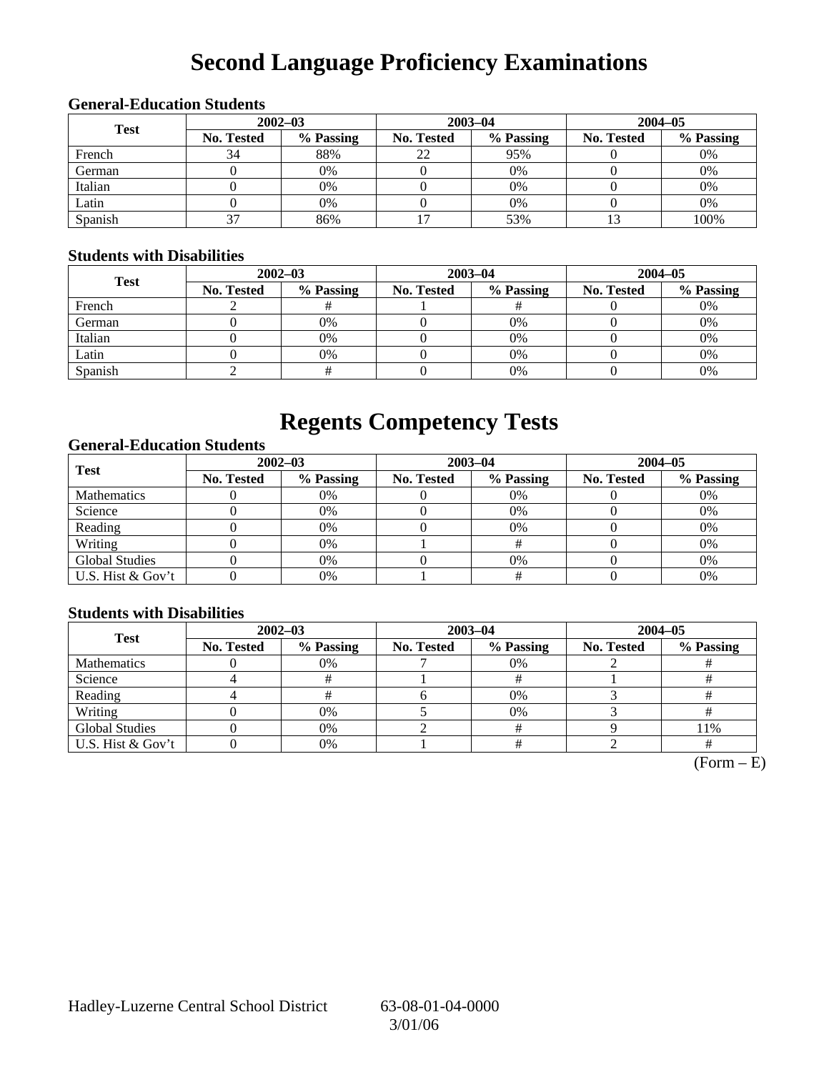# **Second Language Proficiency Examinations**

### **2002–03 2003–04 2004–05 Test No. Tested % Passing No. Tested % Passing No. Tested % Passing**  French  $\begin{array}{|c|c|c|c|c|c|c|c|} \hline \end{array}$  34 | 88% | 22 | 95% | 0 | 0% German 0 0% 0 0% 0 0% Italian ( 0 0% 0 0% 0 0% 0 0% 0 0%

### **General-Education Students**

### **Students with Disabilities**

| Diuuchis with Disabilities |                   |           |            |             |                   |           |  |  |
|----------------------------|-------------------|-----------|------------|-------------|-------------------|-----------|--|--|
| <b>Test</b>                | $2002 - 03$       |           |            | $2003 - 04$ | $2004 - 05$       |           |  |  |
|                            | <b>No. Tested</b> | % Passing | No. Tested | % Passing   | <b>No. Tested</b> | % Passing |  |  |
| French                     |                   |           |            |             |                   | 0%        |  |  |
| German                     |                   | 0%        |            | $0\%$       |                   | 0%        |  |  |
| Italian                    |                   | 0%        |            | $0\%$       |                   | 0%        |  |  |
| Latin                      |                   | 0%        |            | $0\%$       |                   | 0%        |  |  |
| Spanish                    |                   |           |            | 0%          |                   | 0%        |  |  |

Latin 0 0% 0 0% 0 0% Spanish | 37 | 86% | 17 | 53% | 13 | 100%

## **Regents Competency Tests**

### **General-Education Students**

| <b>Test</b>           |                   | $2002 - 03$ |                   | $2003 - 04$ | $2004 - 05$ |           |  |
|-----------------------|-------------------|-------------|-------------------|-------------|-------------|-----------|--|
|                       | <b>No. Tested</b> | % Passing   | <b>No. Tested</b> | % Passing   | No. Tested  | % Passing |  |
| <b>Mathematics</b>    |                   | 0%          |                   | 0%          |             | 0%        |  |
| Science               |                   | 0%          |                   | 0%          |             | 0%        |  |
| Reading               |                   | 0%          |                   | $0\%$       |             | 0%        |  |
| Writing               |                   | 0%          |                   |             |             | 0%        |  |
| <b>Global Studies</b> |                   | 0%          |                   | $0\%$       |             | 0%        |  |
| U.S. Hist & Gov't     |                   | 0%          |                   |             |             | 0%        |  |

### **Students with Disabilities**

| <b>Test</b>           | $2002 - 03$       |           |            | $2003 - 04$ | $2004 - 05$ |           |  |
|-----------------------|-------------------|-----------|------------|-------------|-------------|-----------|--|
|                       | <b>No. Tested</b> | % Passing | No. Tested | % Passing   | No. Tested  | % Passing |  |
| <b>Mathematics</b>    |                   | 0%        |            | $0\%$       |             |           |  |
| Science               |                   |           |            |             |             |           |  |
| Reading               |                   |           |            | 0%          |             |           |  |
| Writing               |                   | 0%        |            | $0\%$       |             |           |  |
| <b>Global Studies</b> |                   | 0%        |            |             |             | 11%       |  |
| U.S. Hist & Gov't     |                   | 0%        |            |             |             |           |  |

 $(Form - E)$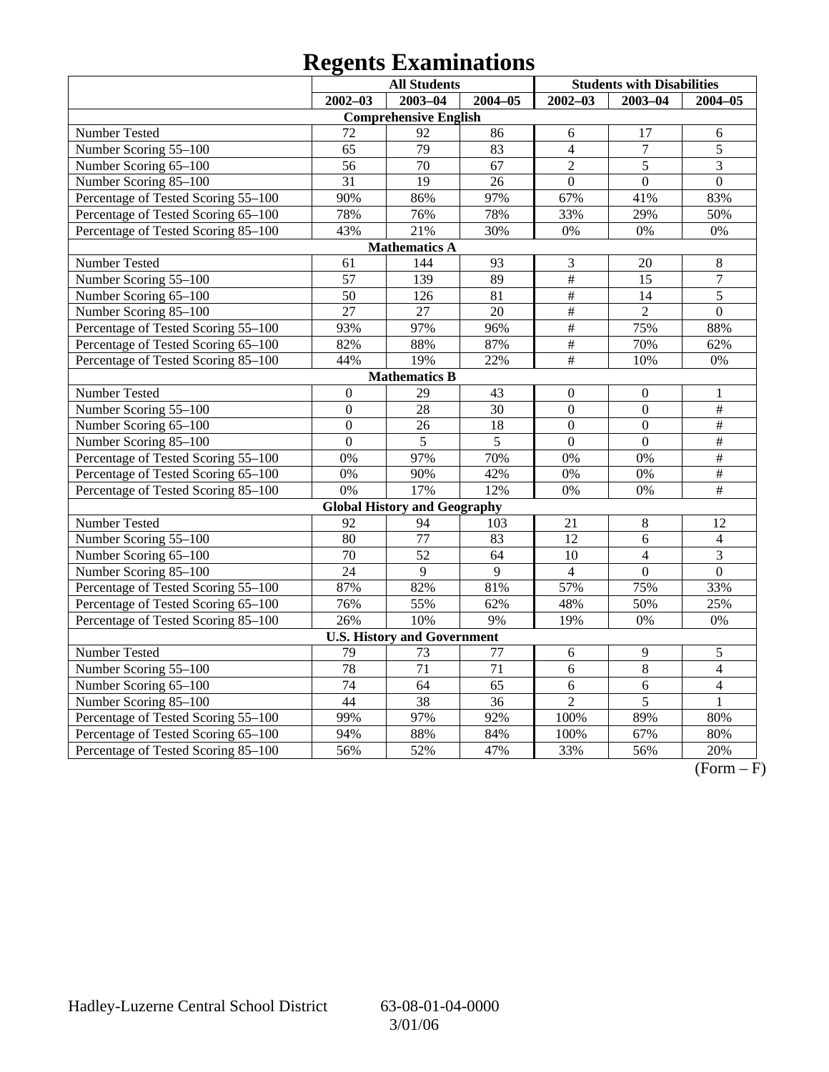# **Regents Examinations**

|                                     | <b>All Students</b> |                                     |                 |                  | <b>Students with Disabilities</b> |                 |
|-------------------------------------|---------------------|-------------------------------------|-----------------|------------------|-----------------------------------|-----------------|
|                                     | $2002 - 03$         | $2003 - 04$                         | $2004 - 05$     | $2002 - 03$      | $2003 - 04$                       | $2004 - 05$     |
|                                     |                     | <b>Comprehensive English</b>        |                 |                  |                                   |                 |
| Number Tested                       | 72                  | 92                                  | 86              | 6                | 17                                | 6               |
| Number Scoring 55-100               | 65                  | $\overline{79}$                     | 83              | $\overline{4}$   | $\overline{7}$                    | $\overline{5}$  |
| Number Scoring 65-100               | $\overline{56}$     | $\overline{70}$                     | $\overline{67}$ | $\overline{2}$   | $\overline{5}$                    | $\overline{3}$  |
| Number Scoring 85-100               | $\overline{31}$     | $\overline{19}$                     | 26              | $\overline{0}$   | $\overline{0}$                    | $\overline{0}$  |
| Percentage of Tested Scoring 55-100 | 90%                 | 86%                                 | 97%             | 67%              | 41%                               | 83%             |
| Percentage of Tested Scoring 65-100 | 78%                 | 76%                                 | 78%             | 33%              | 29%                               | 50%             |
| Percentage of Tested Scoring 85-100 | 43%                 | 21%                                 | 30%             | 0%               | 0%                                | 0%              |
|                                     |                     | <b>Mathematics A</b>                |                 |                  |                                   |                 |
| Number Tested                       | 61                  | 144                                 | 93              | 3                | 20                                | 8               |
| Number Scoring 55-100               | $\overline{57}$     | 139                                 | 89              | $\overline{\#}$  | 15                                | $\overline{7}$  |
| Number Scoring 65-100               | 50                  | 126                                 | 81              | $\overline{\#}$  | 14                                | $\overline{5}$  |
| Number Scoring 85-100               | $\overline{27}$     | $\overline{27}$                     | $\overline{20}$ | $\overline{\#}$  | $\overline{2}$                    | $\overline{0}$  |
| Percentage of Tested Scoring 55-100 | 93%                 | 97%                                 | 96%             | $\frac{1}{2}$    | 75%                               | 88%             |
| Percentage of Tested Scoring 65-100 | 82%                 | 88%                                 | 87%             | $\#$             | 70%                               | 62%             |
| Percentage of Tested Scoring 85-100 | 44%                 | 19%                                 | 22%             | $\overline{\#}$  | 10%                               | 0%              |
|                                     |                     | <b>Mathematics B</b>                |                 |                  |                                   |                 |
| Number Tested                       | $\overline{0}$      | 29                                  | 43              | $\boldsymbol{0}$ | $\boldsymbol{0}$                  | 1               |
| Number Scoring 55-100               | $\overline{0}$      | $\overline{28}$                     | 30              | $\overline{0}$   | $\overline{0}$                    | $\overline{\#}$ |
| Number Scoring 65-100               | $\overline{0}$      | 26                                  | 18              | $\overline{0}$   | $\mathbf{0}$                      | $\overline{\#}$ |
| Number Scoring 85-100               | $\overline{0}$      | 5                                   | 5               | $\overline{0}$   | $\overline{0}$                    | $\#$            |
| Percentage of Tested Scoring 55-100 | 0%                  | 97%                                 | 70%             | 0%               | 0%                                | $\#$            |
| Percentage of Tested Scoring 65-100 | 0%                  | 90%                                 | 42%             | 0%               | 0%                                | $\overline{\#}$ |
| Percentage of Tested Scoring 85-100 | 0%                  | 17%                                 | 12%             | 0%               | 0%                                | #               |
|                                     |                     | <b>Global History and Geography</b> |                 |                  |                                   |                 |
| Number Tested                       | 92                  | 94                                  | 103             | 21               | $\,$ 8 $\,$                       | 12              |
| Number Scoring 55-100               | 80                  | 77                                  | 83              | 12               | 6                                 | $\overline{4}$  |
| Number Scoring 65-100               | 70                  | $\overline{52}$                     | 64              | 10               | $\overline{4}$                    | 3               |
| Number Scoring 85-100               | $\overline{24}$     | $\overline{9}$                      | $\overline{9}$  | $\overline{4}$   | $\overline{0}$                    | $\overline{0}$  |
| Percentage of Tested Scoring 55-100 | 87%                 | 82%                                 | 81%             | 57%              | 75%                               | 33%             |
| Percentage of Tested Scoring 65-100 | 76%                 | 55%                                 | 62%             | 48%              | 50%                               | 25%             |
| Percentage of Tested Scoring 85-100 | 26%                 | 10%                                 | 9%              | 19%              | 0%                                | 0%              |
|                                     |                     | <b>U.S. History and Government</b>  |                 |                  |                                   |                 |
| Number Tested                       | 79                  | 73                                  | 77              | $\sqrt{6}$       | 9                                 | $\mathfrak s$   |
| Number Scoring 55-100               | 78                  | 71                                  | 71              | 6                | 8                                 | $\overline{4}$  |
| Number Scoring 65-100               | $\overline{74}$     | $\overline{64}$                     | $\overline{65}$ | 6                | 6                                 | $\overline{4}$  |
| Number Scoring 85-100               | $\overline{44}$     | $\overline{38}$                     | $\overline{36}$ | $\overline{2}$   | $\overline{5}$                    | $\mathbf{1}$    |
| Percentage of Tested Scoring 55-100 | 99%                 | 97%                                 | 92%             | 100%             | 89%                               | 80%             |
| Percentage of Tested Scoring 65-100 | 94%                 | 88%                                 | 84%             | 100%             | 67%                               | 80%             |
| Percentage of Tested Scoring 85-100 | 56%                 | 52%                                 | 47%             | 33%              | 56%                               | 20%             |

 $\overline{(Form - F)}$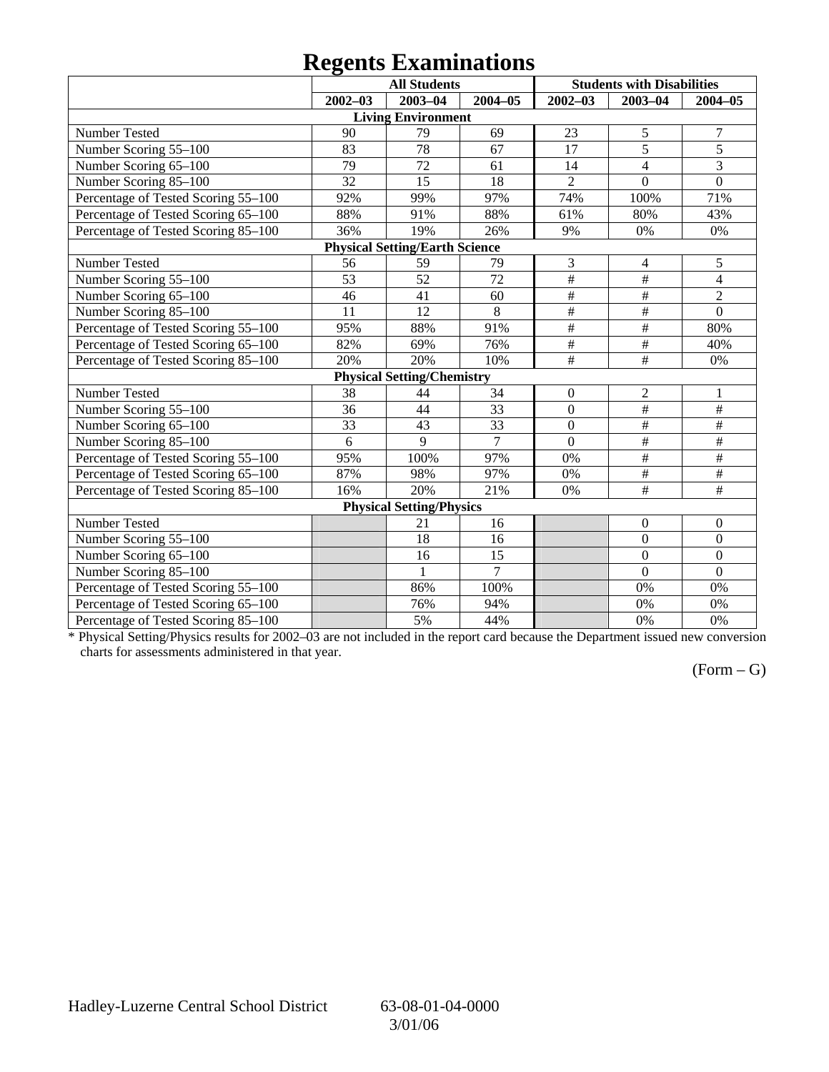## **Regents Examinations**

|                                     |                 | <b>All Students</b>                   |                |                         | <b>Students with Disabilities</b> |                      |
|-------------------------------------|-----------------|---------------------------------------|----------------|-------------------------|-----------------------------------|----------------------|
|                                     | $2002 - 03$     | 2003-04                               | $2004 - 05$    | $2002 - 03$             | $2003 - 04$                       | $2004 - 05$          |
|                                     |                 | <b>Living Environment</b>             |                |                         |                                   |                      |
| Number Tested                       | 90              | 79                                    | 69             | 23                      | 5                                 | $\boldsymbol{7}$     |
| Number Scoring 55-100               | 83              | 78                                    | 67             | 17                      | $\overline{5}$                    | $\overline{5}$       |
| Number Scoring 65-100               | 79              | 72                                    | 61             | 14                      | $\overline{4}$                    | 3                    |
| Number Scoring 85-100               | 32              | 15                                    | 18             | $\overline{2}$          | $\overline{0}$                    | $\overline{0}$       |
| Percentage of Tested Scoring 55-100 | 92%             | 99%                                   | 97%            | 74%                     | 100%                              | 71%                  |
| Percentage of Tested Scoring 65-100 | 88%             | 91%                                   | 88%            | 61%                     | 80%                               | 43%                  |
| Percentage of Tested Scoring 85-100 | 36%             | 19%                                   | 26%            | 9%                      | $0\%$                             | 0%                   |
|                                     |                 | <b>Physical Setting/Earth Science</b> |                |                         |                                   |                      |
| Number Tested                       | 56              | 59                                    | 79             | 3                       | 4                                 | 5                    |
| Number Scoring 55-100               | 53              | 52                                    | 72             | $\#$                    | $\#$                              | $\overline{4}$       |
| Number Scoring 65-100               | 46              | 41                                    | 60             | #                       | $\#$                              | $\overline{2}$       |
| Number Scoring 85-100               | 11              | 12                                    | 8              | $\#$                    | $\#$                              | $\boldsymbol{0}$     |
| Percentage of Tested Scoring 55-100 | 95%             | 88%                                   | 91%            | $\overline{\ddot{\pi}}$ | $\overline{\#}$                   | 80%                  |
| Percentage of Tested Scoring 65-100 | 82%             | 69%                                   | 76%            | $\overline{\#}$         | $\overline{\#}$                   | 40%                  |
| Percentage of Tested Scoring 85-100 | 20%             | 20%                                   | 10%            | $\#$                    | $\#$                              | 0%                   |
|                                     |                 | <b>Physical Setting/Chemistry</b>     |                |                         |                                   |                      |
| Number Tested                       | 38              | 44                                    | 34             | $\boldsymbol{0}$        | $\mathfrak 2$                     | 1                    |
| Number Scoring 55-100               | $\overline{36}$ | 44                                    | 33             | $\overline{0}$          | $\overline{\#}$                   | $\overline{\ddot{}}$ |
| Number Scoring 65-100               | 33              | 43                                    | 33             | $\mathbf{0}$            | $\#$                              | $\overline{\#}$      |
| Number Scoring 85-100               | 6               | 9                                     | $\overline{7}$ | $\overline{0}$          | $\overline{\#}$                   | $\overline{\#}$      |
| Percentage of Tested Scoring 55-100 | 95%             | 100%                                  | 97%            | 0%                      | #                                 | #                    |
| Percentage of Tested Scoring 65-100 | 87%             | 98%                                   | 97%            | 0%                      | $\#$                              | $\#$                 |
| Percentage of Tested Scoring 85-100 | 16%             | 20%                                   | 21%            | 0%                      | $\#$                              | $\#$                 |
|                                     |                 | <b>Physical Setting/Physics</b>       |                |                         |                                   |                      |
| Number Tested                       |                 | 21                                    | 16             |                         | $\boldsymbol{0}$                  | $\mathbf{0}$         |
| Number Scoring 55-100               |                 | 18                                    | 16             |                         | $\mathbf{0}$                      | $\boldsymbol{0}$     |
| Number Scoring 65-100               |                 | 16                                    | 15             |                         | $\overline{0}$                    | $\overline{0}$       |
| Number Scoring 85-100               |                 | $\mathbf{1}$                          | $\overline{7}$ |                         | $\overline{0}$                    | $\overline{0}$       |
| Percentage of Tested Scoring 55-100 |                 | 86%                                   | 100%           |                         | 0%                                | 0%                   |
| Percentage of Tested Scoring 65-100 |                 | 76%                                   | 94%            |                         | 0%                                | 0%                   |
| Percentage of Tested Scoring 85-100 |                 | 5%                                    | 44%            |                         | 0%                                | 0%                   |

\* Physical Setting/Physics results for 2002–03 are not included in the report card because the Department issued new conversion charts for assessments administered in that year.

### $(Form - G)$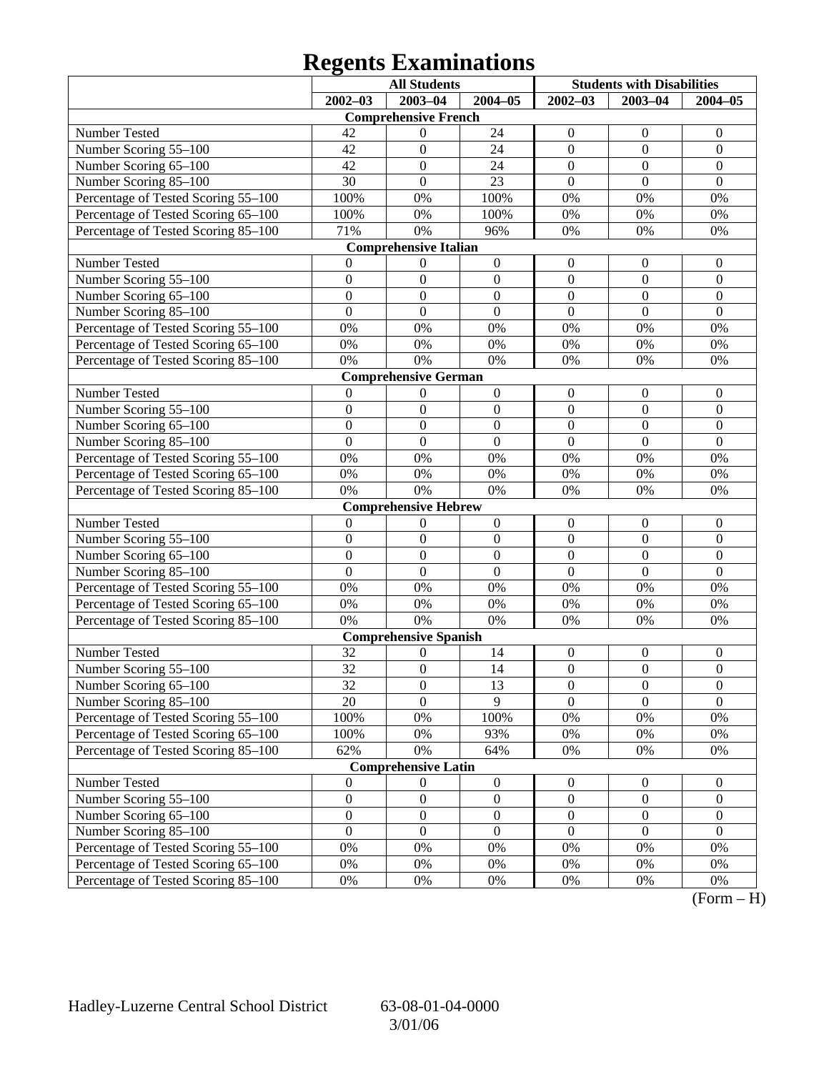# **Regents Examinations**

|                                     |                  | <b>All Students</b>          |                  | <b>Students with Disabilities</b> |                  |                  |
|-------------------------------------|------------------|------------------------------|------------------|-----------------------------------|------------------|------------------|
|                                     | $2002 - 03$      | 2003-04                      | $2004 - 05$      | $2002 - 03$                       | $2003 - 04$      | $2004 - 05$      |
|                                     |                  | <b>Comprehensive French</b>  |                  |                                   |                  |                  |
| Number Tested                       | 42               | $\boldsymbol{0}$             | 24               | $\boldsymbol{0}$                  | $\theta$         | $\theta$         |
| Number Scoring 55-100               | 42               | $\mathbf{0}$                 | 24               | $\boldsymbol{0}$                  | $\mathbf{0}$     | $\boldsymbol{0}$ |
| Number Scoring 65-100               | 42               | $\mathbf{0}$                 | 24               | $\mathbf{0}$                      | $\boldsymbol{0}$ | $\mathbf{0}$     |
| Number Scoring 85-100               | 30               | $\boldsymbol{0}$             | 23               | $\overline{0}$                    | $\overline{0}$   | $\overline{0}$   |
| Percentage of Tested Scoring 55-100 | 100%             | 0%                           | 100%             | $0\%$                             | 0%               | 0%               |
| Percentage of Tested Scoring 65-100 | 100%             | 0%                           | 100%             | $0\%$                             | 0%               | 0%               |
| Percentage of Tested Scoring 85-100 | 71%              | 0%                           | 96%              | 0%                                | 0%               | 0%               |
|                                     |                  | <b>Comprehensive Italian</b> |                  |                                   |                  |                  |
| Number Tested                       | 0                | $\boldsymbol{0}$             | $\boldsymbol{0}$ | $\boldsymbol{0}$                  | $\boldsymbol{0}$ | $\overline{0}$   |
| Number Scoring 55-100               | $\boldsymbol{0}$ | $\mathbf{0}$                 | $\boldsymbol{0}$ | $\mathbf{0}$                      | $\mathbf{0}$     | $\boldsymbol{0}$ |
| Number Scoring 65-100               | $\overline{0}$   | $\mathbf{0}$                 | $\mathbf{0}$     | $\mathbf{0}$                      | $\boldsymbol{0}$ | $\overline{0}$   |
| Number Scoring 85-100               | $\overline{0}$   | $\boldsymbol{0}$             | $\overline{0}$   | $\overline{0}$                    | $\overline{0}$   | $\overline{0}$   |
| Percentage of Tested Scoring 55-100 | 0%               | 0%                           | 0%               | 0%                                | 0%               | 0%               |
| Percentage of Tested Scoring 65-100 | 0%               | 0%                           | $0\%$            | 0%                                | 0%               | 0%               |
| Percentage of Tested Scoring 85-100 | 0%               | 0%                           | 0%               | 0%                                | 0%               | 0%               |
|                                     |                  | <b>Comprehensive German</b>  |                  |                                   |                  |                  |
| Number Tested                       | $\theta$         | $\boldsymbol{0}$             | $\boldsymbol{0}$ | $\boldsymbol{0}$                  | $\boldsymbol{0}$ | $\mathbf{0}$     |
| Number Scoring 55-100               | $\boldsymbol{0}$ | $\mathbf{0}$                 | $\boldsymbol{0}$ | $\mathbf{0}$                      | $\mathbf{0}$     | $\boldsymbol{0}$ |
| Number Scoring 65-100               | $\overline{0}$   | $\mathbf{0}$                 | $\mathbf{0}$     | $\mathbf{0}$                      | $\boldsymbol{0}$ | $\mathbf{0}$     |
| Number Scoring 85-100               | $\overline{0}$   | $\overline{0}$               | $\overline{0}$   | $\overline{0}$                    | $\overline{0}$   | $\overline{0}$   |
| Percentage of Tested Scoring 55-100 | 0%               | 0%                           | 0%               | 0%                                | 0%               | 0%               |
| Percentage of Tested Scoring 65-100 | 0%               | 0%                           | 0%               | 0%                                | 0%               | 0%               |
| Percentage of Tested Scoring 85-100 | 0%               | 0%                           | 0%               | 0%                                | 0%               | 0%               |
|                                     |                  | <b>Comprehensive Hebrew</b>  |                  |                                   |                  |                  |
| Number Tested                       | $\boldsymbol{0}$ | $\boldsymbol{0}$             | $\boldsymbol{0}$ | $\boldsymbol{0}$                  | $\boldsymbol{0}$ | $\mathbf{0}$     |
| Number Scoring 55-100               | $\boldsymbol{0}$ | $\boldsymbol{0}$             | $\boldsymbol{0}$ | $\mathbf{0}$                      | $\overline{0}$   | $\boldsymbol{0}$ |
| Number Scoring 65-100               | $\overline{0}$   | $\mathbf{0}$                 | $\mathbf{0}$     | $\boldsymbol{0}$                  | $\boldsymbol{0}$ | $\mathbf{0}$     |
| Number Scoring 85-100               | $\overline{0}$   | $\boldsymbol{0}$             | $\overline{0}$   | $\overline{0}$                    | $\overline{0}$   | $\mathbf{0}$     |
| Percentage of Tested Scoring 55-100 | 0%               | 0%                           | 0%               | 0%                                | 0%               | 0%               |
| Percentage of Tested Scoring 65-100 | 0%               | 0%                           | $0\%$            | 0%                                | 0%               | 0%               |
| Percentage of Tested Scoring 85-100 | 0%               | 0%                           | 0%               | 0%                                | 0%               | 0%               |
|                                     |                  | <b>Comprehensive Spanish</b> |                  |                                   |                  |                  |
| Number Tested                       | 32               | $\theta$                     | 14               | $\boldsymbol{0}$                  | $\boldsymbol{0}$ | $\boldsymbol{0}$ |
| Number Scoring 55-100               | 32               | $\boldsymbol{0}$             | 14               | $\boldsymbol{0}$                  | $\boldsymbol{0}$ | $\mathbf{0}$     |
| Number Scoring 65–100               | 32               | $\boldsymbol{0}$             | 13               | $\theta$                          | $\boldsymbol{0}$ | $\boldsymbol{0}$ |
| Number Scoring 85-100               | 20               | $\overline{0}$               | $\overline{9}$   | $\Omega$                          | $\theta$         | $\overline{0}$   |
| Percentage of Tested Scoring 55-100 | 100%             | 0%                           | 100%             | $0\%$                             | 0%               | 0%               |
| Percentage of Tested Scoring 65-100 | 100%             | 0%                           | 93%              | 0%                                | 0%               | 0%               |
| Percentage of Tested Scoring 85-100 | 62%              | 0%                           | 64%              | 0%                                | 0%               | 0%               |
|                                     |                  | <b>Comprehensive Latin</b>   |                  |                                   |                  |                  |
| Number Tested                       | $\boldsymbol{0}$ | $\boldsymbol{0}$             | $\boldsymbol{0}$ | $\boldsymbol{0}$                  | $\boldsymbol{0}$ | $\mathbf{0}$     |
| Number Scoring 55-100               | $\boldsymbol{0}$ | $\boldsymbol{0}$             | $\boldsymbol{0}$ | $\boldsymbol{0}$                  | $\boldsymbol{0}$ | $\boldsymbol{0}$ |
| Number Scoring 65-100               | $\boldsymbol{0}$ | $\boldsymbol{0}$             | $\boldsymbol{0}$ | $\boldsymbol{0}$                  | $\boldsymbol{0}$ | $\boldsymbol{0}$ |
| Number Scoring 85-100               | $\boldsymbol{0}$ | $\boldsymbol{0}$             | $\mathbf{0}$     | $\mathbf{0}$                      | $\mathbf{0}$     | $\boldsymbol{0}$ |
| Percentage of Tested Scoring 55-100 | 0%               | 0%                           | $0\%$            | 0%                                | 0%               | 0%               |
| Percentage of Tested Scoring 65-100 | 0%               | 0%                           | 0%               | 0%                                | 0%               | 0%               |
| Percentage of Tested Scoring 85-100 | 0%               | 0%                           | 0%               | 0%                                | 0%               | 0%               |

 $(Form - H)$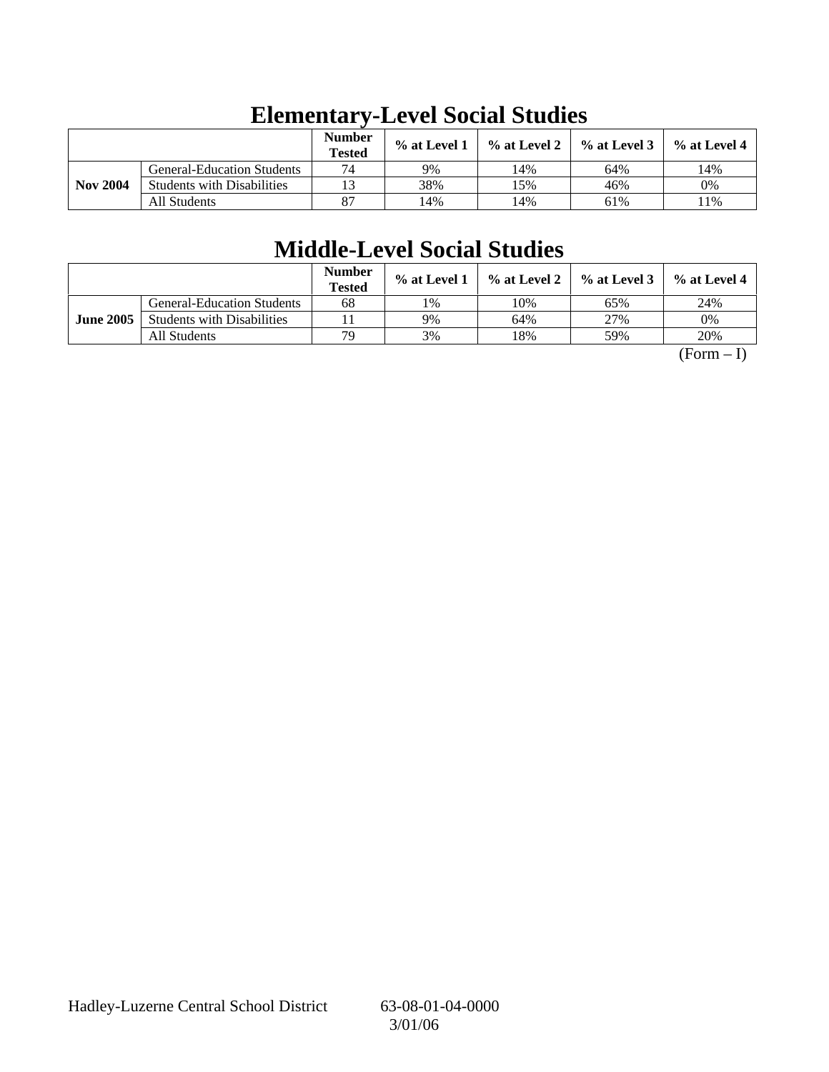|                 |                                   | <b>Number</b><br><b>Tested</b> | $%$ at Level 1 | $\%$ at Level 2 | $%$ at Level 3 | % at Level 4 |
|-----------------|-----------------------------------|--------------------------------|----------------|-----------------|----------------|--------------|
|                 | <b>General-Education Students</b> | 74                             | 9%             | 14%             | 64%            | 14%          |
| <b>Nov 2004</b> | <b>Students with Disabilities</b> | 13                             | 38%            | 15%             | 46%            | 0%           |
|                 | All Students                      | 87                             | 14%            | 14%             | 61%            | $1\%$        |

# **Elementary-Level Social Studies**

## **Middle-Level Social Studies**

|                  |                                   | <b>Number</b><br><b>Tested</b> | $%$ at Level 1 | % at Level 2 | $%$ at Level 3 | $%$ at Level 4 |
|------------------|-----------------------------------|--------------------------------|----------------|--------------|----------------|----------------|
|                  | <b>General-Education Students</b> | 68                             | 1%             | 10%          | 65%            | 24%            |
| <b>June 2005</b> | <b>Students with Disabilities</b> |                                | 9%             | 64%          | 27%            | 0%             |
|                  | All Students                      | 79                             | 3%             | 18%          | 59%            | 20%            |

 $(Form - I)$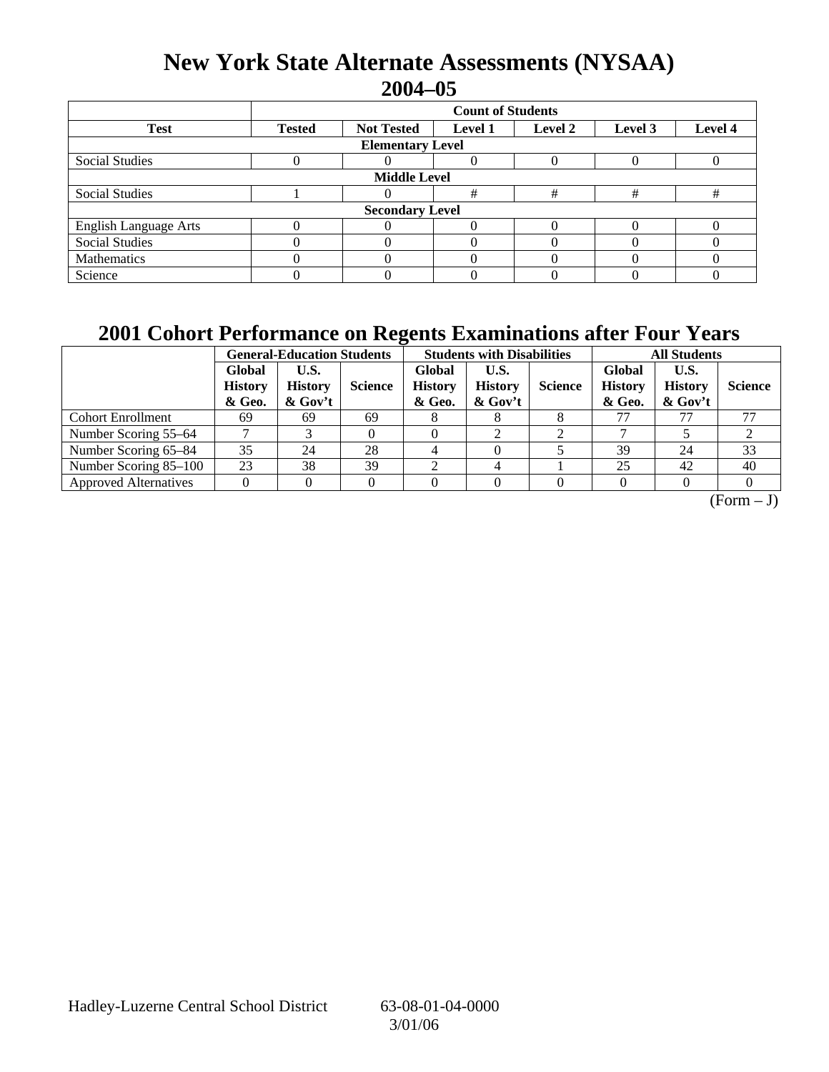## **New York State Alternate Assessments (NYSAA) 2004–05**

|                              | <b>Count of Students</b> |                         |                |         |         |         |  |  |  |  |
|------------------------------|--------------------------|-------------------------|----------------|---------|---------|---------|--|--|--|--|
| <b>Test</b>                  | <b>Tested</b>            | <b>Not Tested</b>       | <b>Level 1</b> | Level 2 | Level 3 | Level 4 |  |  |  |  |
|                              |                          | <b>Elementary Level</b> |                |         |         |         |  |  |  |  |
| <b>Social Studies</b>        |                          |                         |                |         |         |         |  |  |  |  |
|                              | <b>Middle Level</b>      |                         |                |         |         |         |  |  |  |  |
| <b>Social Studies</b>        |                          |                         | #              | #       | #       | #       |  |  |  |  |
|                              |                          | <b>Secondary Level</b>  |                |         |         |         |  |  |  |  |
| <b>English Language Arts</b> |                          |                         |                |         |         |         |  |  |  |  |
| <b>Social Studies</b>        |                          |                         |                |         |         |         |  |  |  |  |
| Mathematics                  |                          |                         |                |         |         |         |  |  |  |  |
| Science                      |                          |                         |                |         |         |         |  |  |  |  |

## **2001 Cohort Performance on Regents Examinations after Four Years**

|                              |                                    | <b>General-Education Students</b>   |                | <b>Students with Disabilities</b>  |                                      |                | <b>All Students</b>                |                                      |                |
|------------------------------|------------------------------------|-------------------------------------|----------------|------------------------------------|--------------------------------------|----------------|------------------------------------|--------------------------------------|----------------|
|                              | Global<br><b>History</b><br>& Geo. | U.S.<br><b>History</b><br>$&$ Gov't | <b>Science</b> | Global<br><b>History</b><br>& Geo. | U.S.<br><b>History</b><br>$\&$ Gov't | <b>Science</b> | Global<br><b>History</b><br>& Geo. | U.S.<br><b>History</b><br>$\&$ Gov't | <b>Science</b> |
| <b>Cohort Enrollment</b>     | 69                                 | 69                                  | 69             |                                    |                                      |                | 77                                 |                                      | 77             |
| Number Scoring 55–64         |                                    |                                     |                |                                    | ◠                                    |                |                                    |                                      | ∠              |
| Number Scoring 65-84         | 35                                 | 24                                  | 28             |                                    |                                      |                | 39                                 | 24                                   | 33             |
| Number Scoring 85-100        | 23                                 | 38                                  | 39             |                                    |                                      |                | 25                                 | 42                                   | 40             |
| <b>Approved Alternatives</b> |                                    |                                     |                |                                    |                                      |                |                                    |                                      |                |

 $\overline{(Form - J)}$